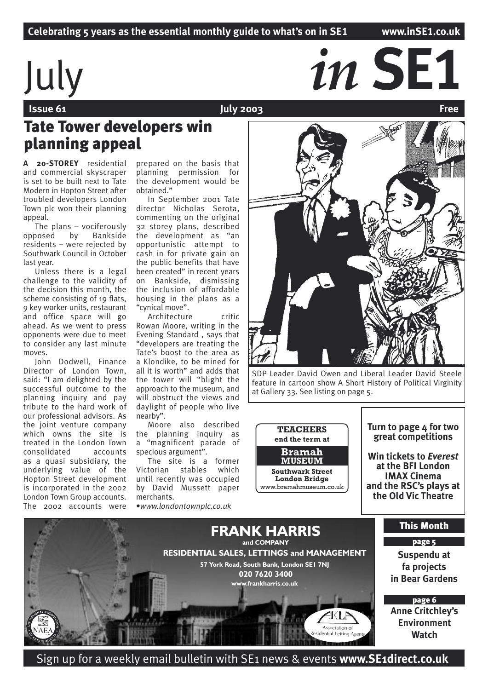# $j$ uly *in SE1*<br> $j$ uly *in*  $j$ uly 2003

 **Issue 61 Contract Contract Contract Contract Contract Contract Contract Contract Contract Contract Contract Contract Contract Contract Contract Contract Contract Contract Contract Contract Contract Contract Contract Co** 

## Tate Tower developers win planning appeal

**A 20-STOREY** residential and commercial skyscraper is set to be built next to Tate Modern in Hopton Street after troubled developers London Town plc won their planning appeal.

The plans – vociferously opposed by Bankside residents – were rejected by Southwark Council in October last year.

Unless there is a legal challenge to the validity of the decision this month, the scheme consisting of 19 flats, 9 key worker units, restaurant and office space will go ahead. As we went to press opponents were due to meet to consider any last minute moves.

John Dodwell, Finance Director of London Town, said: "I am delighted by the successful outcome to the planning inquiry and pay tribute to the hard work of our professional advisors. As the joint venture company which owns the site is treated in the London Town consolidated accounts as a quasi subsidiary, the underlying value of the Hopton Street development is incorporated in the 2002 London Town Group accounts. The 2002 accounts were

prepared on the basis that planning permission for the development would be obtained."

In September 2001 Tate director Nicholas Serota, commenting on the original 32 storey plans, described the development as "an opportunistic attempt to cash in for private gain on the public benefits that have been created" in recent years on Bankside, dismissing the inclusion of affordable housing in the plans as a "cynical move".

Architecture critic Rowan Moore, writing in the Evening Standard , says that "developers are treating the Tate's boost to the area as a Klondike, to be mined for all it is worth" and adds that the tower will "blight the approach to the museum, and will obstruct the views and daylight of people who live nearby".

Moore also described the planning inquiry as a "magnificent parade of specious argument".

The site is a former<br>torian stables which Victorian until recently was occupied by David Mussett paper merchants.

•*www.londontownplc.co.uk*



SDP Leader David Owen and Liberal Leader David Steele feature in cartoon show A Short History of Political Virginity at Gallery 33. See listing on page 5.

**TEACHERS end the term at Southwark Street London Bridge** www.bramahmuseum.co.uk **Bramah MUSEUM**

#### **Turn to page 4 for two great competitions**

**Win tickets to** *Everest* **at the BFI London IMAX Cinema and the RSC's plays at the Old Vic Theatre**



Sign up for a weekly email bulletin with SE1 news & events **www.SE1direct.co.uk**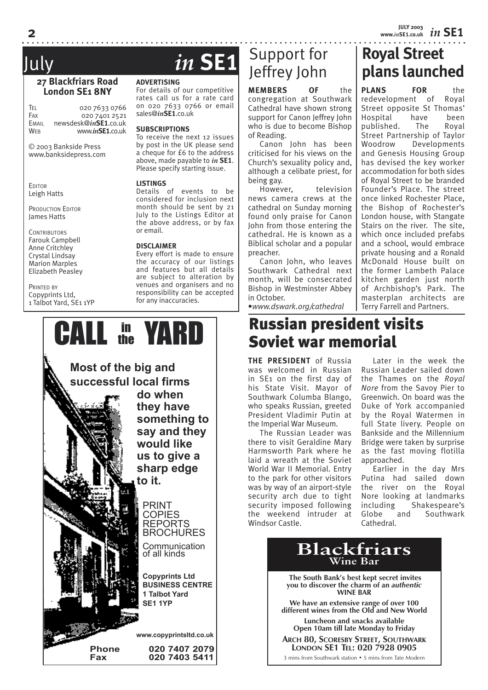*in* **SE1 JULY 2003 www.***in***SE1.co.uk**

**Royal Street** 

**PLANS** FOR

**plans launched**

redevelopment of Royal Street opposite St Thomas' Hospital have been published. The Royal Street Partnership of Taylor Woodrow Developments and Genesis Housing Group has devised the key worker accommodation for both sides of Royal Street to be branded Founder's Place. The street once linked Rochester Place, the Bishop of Rochester's London house, with Stangate Stairs on the river. The site, which once included prefabs and a school, would embrace private housing and a Ronald McDonald House built on the former Lambeth Palace kitchen garden just north of Archbishop's Park. The masterplan architects are Terry Farrell and Partners.

#### **27 Blackfriars Road London SE1 8NY**

TEL 020 7633 0766<br>Fax 020 7401 2521 020 7401 2521 EMAIL newsdesk@*in***SE1**.co.uk WEB www.*in***SE1**.co.uk

© 2003 Bankside Press www.banksidepress.com

**EDITOR** Leigh Hatts

PRODUCTION EDITOR James Hatts

**CONTRIBUTORS** Farouk Campbell Anne Critchley Crystal Lindsay Marion Marples Elizabeth Peasley

PRINTED BY Copyprints Ltd, 1 Talbot Yard, SE1 1YP

## July *in* **SE1**

#### **ADVERTISING**

For details of our competitive rates call us for a rate card on 020 7633 0766 or email sales@*in***SE1**.co.uk

#### **SUBSCRIPTIONS**

To receive the next 12 issues by post in the UK please send a cheque for £6 to the address above, made payable to *in* **SE1**. Please specify starting issue.

#### **LISTINGS**

Details of events to be considered for inclusion next month should be sent by 21 July to the Listings Editor at the above address, or by fax or email.

#### **DISCLAIMER**

Every effort is made to ensure the accuracy of our listings and features but all details are subject to alteration by venues and organisers and no responsibility can be accepted for any inaccuracies.



## Support for Jeffrey John

**MEMBERS OF** the congregation at Southwark Cathedral have shown strong support for Canon Jeffrey John who is due to become Bishop of Reading.

Canon John has been criticised for his views on the Church's sexuality policy and, although a celibate priest, for being gay.

However, television news camera crews at the cathedral on Sunday morning found only praise for Canon John from those entering the cathedral. He is known as a Biblical scholar and a popular preacher.

Canon John, who leaves Southwark Cathedral next month, will be consecrated Bishop in Westminster Abbey in October.

•*www.dswark.org/cathedral*

## Russian president visits Soviet war memorial

**THE PRESIDENT** of Russia was welcomed in Russian in SE1 on the first day of his State Visit. Mayor of Southwark Columba Blango, who speaks Russian, greeted President Vladimir Putin at the Imperial War Museum.

The Russian Leader was there to visit Geraldine Mary Harmsworth Park where he laid a wreath at the Soviet World War II Memorial. Entry to the park for other visitors was by way of an airport-style security arch due to tight security imposed following the weekend intruder at Windsor Castle.

Later in the week the Russian Leader sailed down the Thames on the *Royal Nore* from the Savoy Pier to Greenwich. On board was the Duke of York accompanied by the Royal Watermen in full State livery. People on Bankside and the Millennium Bridge were taken by surprise as the fast moving flotilla approached.

Earlier in the day Mrs Putina had sailed down the river on the Royal Nore looking at landmarks<br>including Shakespeare's s Shakespeare's<br>and Southwark Globe and Southwark Cathedral.

## **Blackfriars Wine Bar**

 **The South Bank's best kept secret invites you to discover the charm of an** *authentic* **WINE BAR**

**We have an extensive range of over 100 different wines from the Old and New World**

**Luncheon and snacks available Open 10am till late Monday to Friday**

**ARCH 80, SCORESBY STREET, SOUTHWARK LONDON SE1 TEL: 020 7928 0905**

3 mins from Southwark station • 5 mins from Tate Modern

**2**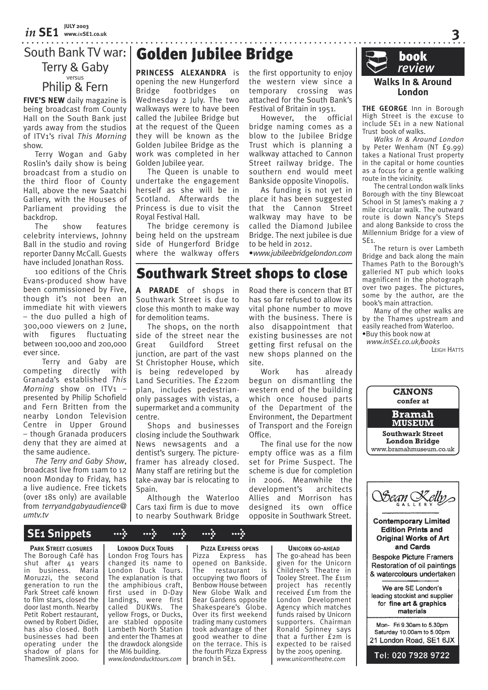### South Bank TV war: Terry & Gaby versus Philip & Fern

**FIVE'S NEW** daily magazine is being broadcast from County Hall on the South Bank just yards away from the studios of ITV1's rival *This Morning* show.

Terry Wogan and Gaby Roslin's daily show is being broadcast from a studio on the third floor of County Hall, above the new Saatchi Gallery, with the Houses of Parliament providing the backdrop.

The show features celebrity interviews, Johnny Ball in the studio and roving reporter Danny McCall. Guests have included Jonathan Ross.

100 editions of the Chris Evans-produced show have been commissioned by Five, though it's not been an immediate hit with viewers – the duo pulled a high of 300,000 viewers on 2 June, with figures fluctuating between 100,000 and 200,000 ever since.

 Terry and Gaby are competing directly with Granada's established *This Morning* show on ITV1 – presented by Philip Schofield and Fern Britten from the nearby London Television Centre in Upper Ground – though Granada producers deny that they are aimed at the same audience.

*The Terry and Gaby Show*, broadcast live from 11am to 12 noon Monday to Friday, has a live audience. Free tickets (over 18s only) are available from *terryandgabyaudience@ umtv.tv*

## **Golden Jubilee Bridge book**<br>Printers of the financial contract of the review

**PRINCESS ALEXANDRA** is opening the new Hungerford Bridge footbridges on Wednesday 2 July. The two walkways were to have been called the Jubilee Bridge but at the request of the Queen they will be known as the Golden Jubilee Bridge as the work was completed in her Golden Jubilee year.

The Queen is unable to undertake the engagement herself as she will be in Scotland. Afterwards the Princess is due to visit the Royal Festival Hall.

The bridge ceremony is being held on the upstream side of Hungerford Bridge where the walkway offers

**A PARADE** of shops in Southwark Street is due to close this month to make way

The shops, on the north side of the street near the Great Guildford Street junction, are part of the vast St Christopher House, which is being redeveloped by Land Securities. The £220m plan, includes pedestrianonly passages with vistas, a supermarket and a community

Shops and businesses closing include the Southwark News newsagents and a dentist's surgery. The pictureframer has already closed. Many staff are retiring but the take-away bar is relocating to

Although the Waterloo Cars taxi firm is due to move to nearby Southwark Bridge

for demolition teams.

Southwark Street shops to close

site.

Office.

development's

the first opportunity to enjoy the western view since a temporary crossing was attached for the South Bank's Festival of Britain in 1951.

However, the official bridge naming comes as a blow to the Jubilee Bridge Trust which is planning a walkway attached to Cannon Street railway bridge. The southern end would meet Bankside opposite Vinopolis.

As funding is not yet in place it has been suggested that the Cannon Street walkway may have to be called the Diamond Jubilee Bridge. The next jubilee is due to be held in 2012.

•*www.jubileebridgelondon.com*

Road there is concern that BT has so far refused to allow its vital phone number to move with the business. There is also disappointment that existing businesses are not getting first refusal on the new shops planned on the

Work has already begun on dismantling the western end of the building which once housed parts of the Department of the Environment, the Department of Transport and the Foreign

The final use for the now empty office was as a film set for Prime Suspect. The scheme is due for completion in 2006. Meanwhile the<br>development's architects

Allies and Morrison has designed its own office opposite in Southwark Street.

**Walks In & Around London**

**THE GEORGE** Inn in Borough High Street is the excuse to include SE1 in a new National Trust book of walks.

*Walks In & Around London* by Peter Wenham (NT £9.99) takes a NationaI Trust property in the capital or home counties as a focus for a gentle walking route in the vicinity.

The central London walk links Borough with the tiny Blewcoat School in St James's making a 7 mile circular walk. The outward route is down Nancy's Steps and along Bankside to cross the Millennium Bridge for a view of SE1.

The return is over Lambeth Bridge and back along the main Thames Path to the Borough's galleried NT pub which looks magnificent in the photograph over two pages. The pictures, some by the author, are the book's main attraction.

Many of the other walks are by the Thames upstream and easily reached from Waterloo.

•Buy this book now at *www.inSE1.co.uk/books* LEIGH HATTS

**CANONS confer at Southwark Street London Bridge** www.bramahmuseum.co.uk **Bramah MUSEUM**

## **SE1 Snippets > > > > >**

**PARK STREET CLOSURES** The Borough Café has shut after 41 years in business. Maria Moruzzi, the second generation to run the Park Street café known to film stars, closed the door last month. Nearby Petit Robert restaurant, owned by Robert Didier, has also closed. Both businesses had been operating under the shadow of plans for Thameslink 2000.

**LONDON DUCK TOURS** London Frog Tours has changed its name to London Duck Tours. The explanation is that the amphibious craft, first used in D-Day landings, were first<br>called DUKWs The DUKWs. yellow Frogs, or Ducks, are stabled opposite Lambeth North Station and enter the Thames at the drawdock alongside the MI6 building. *www.londonducktours.com*

centre.

Spain.

**PIZZA EXPRESS OPENS**<br>Pizza Express h Express has opened on Bankside.<br>The restaurant is  $r$ estaurant occupying two floors of Benbow House between New Globe Walk and Bear Gardens opposite Shakespeare's Globe. Over its first weekend trading many customers took advantage of ther good weather to dine on the terrace. This is the fourth Pizza Express branch in SE1.

**UNICORN GO-AHEAD**

The go-ahead has been given for the Unicorn Children's Theatre in Tooley Street. The £11m project has recently received £1m from the London Development Agency which matches funds raised by Unicorn supporters. Chairman Ronald Spinney says that a further £2m is expected to be raised by the 2005 opening. *www.unicorntheatre.com*

Sean Kelly **Contemporary Limited Edition Prints and Original Works of Art** and Cards **Bespoke Picture Framers** Restoration of oil paintings & watercolours undertaken We are SE London's leading stockist and supplier for fine art & graphics materials Mon- Fri 9.30am to 5.30pm Saturday 10.00am to 5.00pm 21 London Road, SE1 6JX Tel: 020 7928 9722

**3**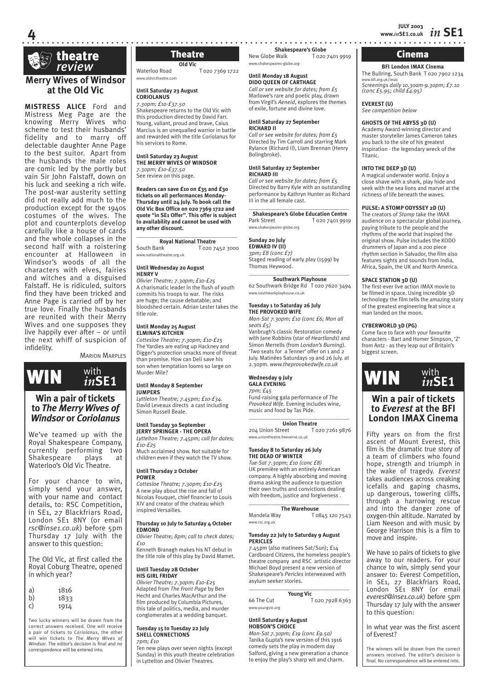*in* **SE1 JULY 2003 www.***in***SE1.co.uk**



**4**

#### **Merry Wives of Windsor at the Old Vic**

**MISTRESS ALICE** Ford and Mistress Meg Page are the knowing Merry Wives who scheme to test their husbands' fidelity and to marry off delectable daughter Anne Page to the best suitor. Apart from the husbands the male roles are comic led by the portly but vain Sir John Falstaff, down on his luck and seeking a rich wife. The post-war austerity setting did not really add much to the production except for the 1940s costumes of the wives. The plot and counterplots develop carefully like a house of cards and the whole collapses in the second half with a roistering encounter at Halloween in Windsor's woods of all the characters with elves, fairies and witches and a disguised Falstaff. He is ridiculed, suitors find they have been tricked and Anne Page is carried off by her true love. Finally the husbands are reunited with their Merry Wives and one supposes they live happily ever after – or until the next whiff of suspicion of infidelity.

**MARION MARPLES** 



## **to** *The Merry Wives of Windsor* **or** *Coriolanus*

We've teamed up with the Royal Shakespeare Company, currently performing two Shakespeare plays at Waterloo's Old Vic Theatre.

For your chance to win, simply send your answer, with your name and contact details, to: RSC Competition, in SE1, 27 Blackfriars Road, London SE1 8NY (or email *rsc@inse1.co.uk*) before 5pm Thursday 17 July with the answer to this question:

The Old Vic, at first called the Royal Coburg Theatre, opened in which year?

| 1816 |
|------|
| 1833 |
| 1914 |
|      |

Two lucky winners will be drawn from the correct answers received. One will receive a pair of tickets to *Coriolanus*, the other will win tickets to *The Merry Wives of Windsor*. The editor's decision is final and no correspondence will be entered into.

**Old Vic** Waterloo Road T 020 7369 1722 www.oldvictheatre.com

**Until Saturday 23 August CORIOLANUS**

*7.30pm; £10-£37.50* Shakespeare returns to the Old Vic with this production directed by David Farr. Young, valiant, proud and brave, Caius Marcius is an unequalled warrior in battle and rewarded with the title Coriolanus for his services to Rome.

#### **Until Saturday 23 August THE MERRY WIVES OF WINDSOR**

*7.30pm; £10-£37.50* See review on this page.

#### **Readers can save £10 on £35 and £30 tickets on all performances Monday-Thursday until 24 July. To book call the Old Vic Box Office on 020 7369 1722 and quote "in SE1 Offer". This offer is subject to availability and cannot be used with any other discount.**

#### $\overline{\phantom{a}}$  , and the set of the set of the set of the set of the set of the set of the set of the set of the set of the set of the set of the set of the set of the set of the set of the set of the set of the set of the s **Royal National Theatre**<br> **Royal National Tozo 7**

T 020 7452 3000 www.nationaltheatre.org.uk

#### **Until Wednesday 20 August HENRY V**

*Olivier Theatre; 7.30pm; £10-£25* A charismatic leader in the flush of youth commits his troops to war. The risks are huge; the cause debatable; and bloodshed certain. Adrian Lester takes the title role.

#### **Until Monday 25 August ELMINA'S KITCHEN**

*Cottesloe Theatre; 7.30pm; £10-£25* The Yardies are eating up Hackney and Digger's protection smacks more of threat than promise. How can Deli save his son when temptation looms so large on Murder Mile?

#### **Until Monday 8 September JUMPERS**

*Lyttleton Theatre; 7.45pm; £10-£34.* David Leveaux directs a cast including Simon Russell Beale.

#### **Until Tuesday 30 September JERRY SPRINGER - THE OPERA**

*Lyttelton Theatre; 7.45pm; call for dates; £10-£25*

Much acclaimed show. Not suitable for children even if they watch the TV show.

#### **Until Thursday 2 October POWER**

*Cottesloe Theatre; 7.30pm; £10-£25* A new play about the rise and fall of Nicolas Fouquet, chief financier to Louis XIV and creator of the chateau which inspired Versailles.

#### **Thursday 10 July to Saturday 4 October EDMOND**

*Olivier Theatre; 8pm; call to check dates; £10*

Kenneth Branagh makes his NT debut in the title role of this play by David Mamet.

#### **Until Tuesday 28 October HIS GIRL FRIDAY**

*Olivier Theatre; 7.30pm; £10-£25* Adapted from *The Front Page* by Ben Hecht and Charles MacArthur and the film produced by Columbia Pictures, this tale of politics, media, and murder conglomerates at a wedding banquet.

#### **Tuesday 15 to Tuesday 22 July SHELL CONNECTIONS** *7pm; £10*

Ten new plays over seven nights (except Sunday) in this youth theatre celebration in Lyttelton and Olivier Theatres.

**Shakespeare's Globe**<br>**Rew Globe Walk T** 020.7 **Theatre Shakespeare's Globe Walk To20 7401 9919 | Cinema** www.shakespeares-globe.org

#### **Until Monday 18 August**

**DIDO QUEEN OF CARTHAGE** *Call or see website for dates; from £5* Marlowe's rare and poetic play, drawn from Virgil's *Aeneid*, explores the themes of exile, fortune and divine love.

#### **Until Saturday 27 September RICHARD II**

*Call or see website for dates; from £5* Directed by Tim Carroll and starring Mark Rylance (Richard II), Liam Brennan (Henry Bolingbroke).

#### **Until Saturday 27 September**

**RICHARD III** *Call or see website for dates; from £5* Directed by Barry Kyle with an outstanding performance by Kathryn Hunter as Richard III in the all female cast.

#### $\_$

**Shakespeare's Globe Education Centre** Park Street T 020 7401 9919 www.shakespeares-globe.org

#### **Sunday 20 July**

**EDWARD IV (II)** *3pm; £8 (conc £7)*

Staged reading of early play (1599) by Thomas Heywood.  $\overline{\phantom{a}}$  , and the set of the set of the set of the set of the set of the set of the set of the set of the set of the set of the set of the set of the set of the set of the set of the set of the set of the set of the s

**Southwark Playhouse** 62 Southwark Bridge Rd T 020 7620 3494

#### **Tuesday 1 to Saturday 26 July**

www.southwarkplayhouse.co.uk

**THE PROVOKED WIFE** *Mon-Sat 7.30pm; £10 (conc £6; Mon all seats £5)* 

Vanbrugh's classic Restoration comedy with Jane Robbins (star of *Heartlands*) and Simon Merrells (from *London's Burning*). 'Two seats for a Tenner' offer on 1 and 2 July. Matinées Saturdays 19 and 26 July. at 2.30pm. *www.theprovokedwife.co.uk* 

#### **Wednesday 9 July**

#### **GALA EVENING**

www.rsc.org.uk

*7pm; £45* Fund-raising gala performance of *The Provoked Wife.* Evening includes wine, music and food by Tas Pide.  $\_$ 

**Union Theatre**<br>204 Union Street To

T 020 7261 9876 www.uniontheatre.freeserve.co.uk

#### **Tuesday 8 to Saturday 26 July THE DEAD OF WINTER**

*Tue-Sat 7.30pm; £10 (conc £8)* UK première with an entirely American company. A highly absorbing and moving drama asking the audience to question their own truths and convictions dealing with freedom, justice and forgiveness .

 $\overline{\phantom{a}}$  , and the set of the set of the set of the set of the set of the set of the set of the set of the set of the set of the set of the set of the set of the set of the set of the set of the set of the set of the s

#### **The Warehouse**<br>
Mandela Way To T 0845 120 7543

#### **Tuesday 22 July to Saturday 9 August PERICLES**

7.45pm (also matinees Sat/Sun); £14 Cardboard Citizens, the homeless people's theatre company and RSC artistic director Michael Boyd present a new version of Shakespeare's *Pericles* interweaved with asylum seeker stories.

| <b>Young Vic</b> |  |
|------------------|--|

66 The Cut T 020 7928 6363 www.youngvic.org

#### **Until Saturday 9 August**

**HOBSON'S CHOICE**  *Mon-Sat 7.30pm; £19 (conc £9.50)* Tanika Gupta's new version of this 1916 comedy sets the play in modern day Salford, giving a new generation a chance to enjoy the play's sharp wit and charm.

**BFI London IMAX Cinema** The Bullring, South Bank T 020 7902 1234 www.bfi.org.uk/imax *Screenings daily 10.30am-9.30pm; £7.10 (conc £5.95; child £4.95)*

#### **EVEREST (U)**

*See competition below*

#### **GHOSTS OF THE ABYSS 3D (U)**

Academy Award-winning director and master storyteller James Cameron takes you back to the site of his greatest inspiration - the legendary wreck of the Titanic.

#### **INTO THE DEEP 3D (U)**

A magical underwater world. Enjoy a close shave with a shark, play hide and seek with the sea lions and marvel at the richness of life beneath the waves.

#### **PULSE: A STOMP ODYSSEY 2D (U)**

The creators of *Stomp* take the IMAX audience on a spectacular global journey, paying tribute to the people and the rhythms of the world that inspired the original show. Pulse includes the KODO drummers of Japan and a 200 piece rhythm section in Salvador, the film also features sights and sounds from India, Africa, Spain, the UK and North America.

#### **SPACE STATION 3D (U)**

The first-ever live action IMAX movie to be filmed in space. Using incredible 3D technology the film tells the amazing story of the greatest engineering feat since a man landed on the moon.

#### **CYBERWORLD 3D (PG)**

Come face to face with your favourite characters - Bart and Homer Simpson, 'Z' from Antz - as they leap out of Britain's biggest screen.



#### **Win a pair of tickets to** *Everest* **at the BFI London IMAX Cinema**

Fifty years on from the first ascent of Mount Everest, this film is the dramatic true story of a team of climbers who found hope, strength and triumph in the wake of tragedy. *Everest*  takes audiences across creaking icefalls and gaping chasms, up dangerous, towering cliffs, through a harrowing rescue and into the danger zone of oxygen-thin altitude. Narrated by Liam Neeson and with music by George Harrison this is a film to move and inspire.

We have 10 pairs of tickets to give away to our readers. For your chance to win, simply send your answer to: Everest Competition, in SE1, 27 Blackfriars Road, London SE1 8NY (or email *everest@inse1.co.uk*) before 5pm Thursday 17 July with the answer to this question:

In what year was the first ascent of Everest?

The winners will be drawn from the correct answers received. The editor's decision is final. No correspondence will be entered into.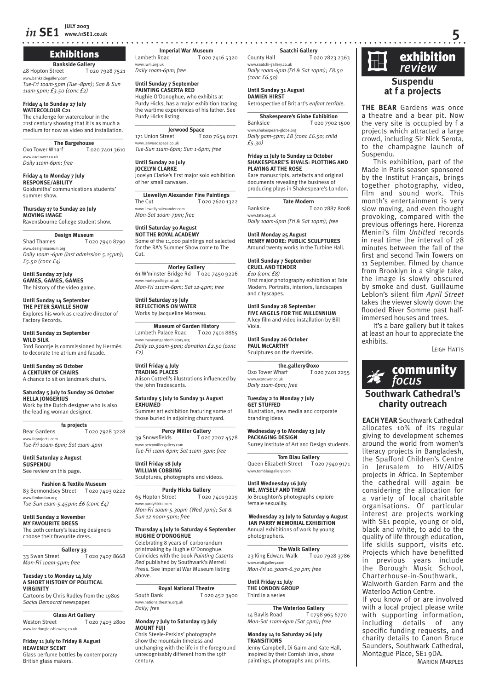### Exhibitions

**Bankside Gallery**<br>Interaction To20 7928 7521 48 Hopton Street degallery.com

*Tue-Fri 10am-5pm (Tue -8pm); San & Sun 11am-5pm; £3.50 (conc £2)*

#### **Friday 4 to Sunday 27 July WATERCOLOUR C21**

The challenge for watercolour in the 21st century showing that it is as much a medium for now as video and installation.  $\overline{\phantom{a}}$  , and the set of the set of the set of the set of the set of the set of the set of the set of the set of the set of the set of the set of the set of the set of the set of the set of the set of the set of the s

**The Bargehouse**<br>Oxo Tower Wharf To: T 020 7401 3610 www.oxotower.co.uk *Daily 11am-6pm; free*

**Friday 4 to Monday 7 July RESPONSE/ABILITY** Goldsmiths' communications students' summer show.

#### **Thursday 17 to Sunday 20 July MOVING IMAGE**

Ravensbourne College student show. \_\_\_\_\_\_\_\_\_\_\_\_\_\_\_\_\_\_\_\_\_\_\_\_\_\_\_\_\_\_\_\_\_\_\_

**Design Museum**<br>To<sub>2</sub> T T 020 7940 8790 w.designmuseum.org *Daily 10am -6pm (last admission 5.15pm); £5.50 (conc £4)*

**Until Sunday 27 July GAMES, GAMES, GAMES** The history of the video game.

#### **Until Sunday 14 September THE PETER SAVILLE SHOW**

Explores his work as creative director of Factory Records.

**Until Sunday 21 September WILD SILK** Tord Boontje is commissioned by Hermès to decorate the atrium and facade.

**Until Sunday 26 October A CENTURY OF CHAIRS**

## A chance to sit on landmark chairs.

**Saturday 5 July to Sunday 26 October HELLA JONGERIUS** Work by the Dutch designer who is also the leading woman designer.

#### \_\_\_\_\_\_\_\_\_\_\_\_\_\_\_\_\_\_\_\_\_\_\_\_\_\_\_\_\_\_\_\_\_\_\_ **fa projects**

Bear Gardens T 020 7928 3228 www.faprojects.com *Tue-Fri 10am-6pm; Sat 11am-4pm*

#### **Until Saturday 2 August**

**SUSPENDU** See review on this page.

\_\_\_\_\_\_\_\_\_\_\_\_\_\_\_\_\_\_\_\_\_\_\_\_\_\_\_\_\_\_\_\_\_\_\_ **Fashion & Textile Museum**

#### 83 Bermondsey Street T 020 7403 0222 www.ftmlondon.org *Tue-Sun 11am-5.45pm; £6 (conc £4)*

**Until Sunday 2 November MY FAVOURITE DRESS** The 20th century's leading designers choose their favourite dress.

 $\overline{\phantom{a}}$  , and the set of the set of the set of the set of the set of the set of the set of the set of the set of the set of the set of the set of the set of the set of the set of the set of the set of the set of the s

**Gallery 33**<br>33 Swan Street T 020 7407 8668 *Mon-Fri 10am-5pm; free*

#### **Tuesday 1 to Monday 14 July A SHORT HISTORY OF POLITICAL VIRGINITY**

Cartoons by Chris Radley from the 1980s *Social Democrat* newspaper.

\_\_\_\_\_\_\_\_\_\_\_\_\_\_\_\_\_\_\_\_\_\_\_\_\_\_\_\_\_\_\_\_\_\_\_

**Glass Art Gallery**<br>To<sub>2</sub> T 020 7403 2800 www.londonglassblowing.co.uk

#### **Friday 11 July to Friday 8 August HEAVENLY SCENT**

Glass perfume bottles by contemporary British glass makers.

**Imperial War Museum**<br>**I** dimbeth Road **I** D20 7 T 020 7416 5320 www.iwm.org.uk *Daily 10am-6pm; free* 

#### **Until Sunday 7 September PAINTING CASERTA RED**

Hughie O'Donoghue, who exhibits at Purdy Hicks, has a major exhibition tracing the wartime experiences of his father. See Purdy Hicks listing.

#### $\_$ **Jerwood Space**<br>171 Union Street To

T 020 7654 0171 ww.<br>Shace.co.uk *Tue-Sun 11am-6pm; Sun 1-6pm; free*

#### **Until Sunday 20 July**

**JOCELYN CLARKE** Jocelyn Clarke's first major solo exhibition of her small canvases. \_\_\_\_\_\_\_\_\_\_\_\_\_\_\_\_\_\_\_\_\_\_\_\_\_\_\_\_\_\_\_\_\_\_\_

**Llewellyn Alexander Fine Paintings** The Cut T 020 7620 1322 www.llewellynalexander.com *Mon-Sat 10am-7pm; free*

#### **Until Saturday 30 August NOT THE ROYAL ACADEMY**

Some of the 11,000 paintings not selected for the RA's Summer Show come to The Cut.

#### $\overline{\phantom{a}}$  , and the set of the set of the set of the set of the set of the set of the set of the set of the set of the set of the set of the set of the set of the set of the set of the set of the set of the set of the s **Morley Gallery**

61 W'minster Bridge Rd T 020 7450 9226 www.morleycollege.ac.uk *Mon-Fri 111am-6pm; Sat 12-4pm; free*

#### **Until Saturday 19 July REFLECTIONS ON WATER** Works by Jacqueline Morreau.

 $\overline{\phantom{a}}$  , and the set of the set of the set of the set of the set of the set of the set of the set of the set of the set of the set of the set of the set of the set of the set of the set of the set of the set of the s **Museum of Garden History** Lambeth Palace Road T 020 7401 8865 w.museumgardenhistory.org *Daily 10.30am-5pm; donation £2.50 (conc £2)*

**Until Friday 4 July TRADING PLACES** Alison Cottrell's illustrations influenced by the John Tradescants.

#### **Saturday 5 July to Sunday 31 August**

**EXHUMED** Summer art exhibition featuring some of those buried in adjoining churchyard.

 $\_$ **Percy Miller Gallery** 39 Snowsfields T 020 7207 4578 www.percymillergallery.com *Tue-Fri 11am-6pm; Sat 11am-3pm; free*

**Until Friday 18 July WILLIAM COBBING** Sculptures, photographs and videos.

#### $\_$ **Purdy Hicks Gallery** 65 Hopton Street T 020 7401 9229 www.purdyhicks.com *Mon-Fri 10am-5.30pm (Wed 7pm); Sat &*

*Sun 12 noon-5pm; free*

#### **Thursday 4 July to Saturday 6 September HUGHIE O'DONOGHUE**

Celebrating 8 years of carborundum printmaking by Hughie O'Donoghue. Coincides with the book *Painting Caserta Red* published by Southwark's Merrell Press. See Imperial War Museum listing above.

\_\_\_\_\_\_\_\_\_\_\_\_\_\_\_\_\_\_\_\_\_\_\_\_\_\_\_\_\_\_\_\_\_\_\_ **Royal National Theatre**<br>South Bank To20 T 020 452 3400 www.nationaltheatre.org.uk *Daily; free*

#### **Monday 7 July to Saturday 13 July MOUNT FUJI**

Chris Steele-Perkins' photographs show the mountain timeless and unchanging with the life in the foreground unrecognisably different from the 19th century.

#### **Saatchi Gallery**

County Hall T 020 7823 2363 www.saatchi-gallery.co.uk *Daily 10am-6pm (Fri & Sat 10pm); £8.50 (conc £6.50)*

#### **Until Sunday 31 August DAMIEN HIRST**

Retrospective of Brit art's *enfant terrible*.  $\overline{\phantom{a}}$  , and the set of the set of the set of the set of the set of the set of the set of the set of the set of the set of the set of the set of the set of the set of the set of the set of the set of the set of the s

**Shakespeare's Globe Exhibition**<br>T 020 7902 Bankside T 020 7902 1500 www.shakespeare-globe.org *Daily 9am-5pm; £8 (conc £6.50; child £5.30)*

#### **Friday 11 July to Sunday 12 October SHAKESPEARE'S RIVALS: PLOTTING AND PLAYING AT THE ROSE**

Rare manuscripts, artefacts and original documents revealing the business of producing plays in Shakespeare's London.

 $\_$ **Tate Modern** Bankside T 020 7887 8008 www.tate.org.uk *Daily 10am-6pm (Fri & Sat 10pm); free*

**Until Monday 25 August**

**HENRY MOORE: PUBLIC SCULPTURES** Around twenty works in the Turbine Hall.

#### **Until Sunday 7 September CRUEL AND TENDER** *£10 (conc £8)* First major photography exhibition at Tate Modern. Portraits, interiors, landscapes and cityscapes.

**Until Sunday 28 September**

**FIVE ANGELS FOR THE MILLENNIUM** A key film and video installation by Bill Viola.

**Until Sunday 26 October PAUL McCARTHY** Sculptures on the riverside.

 $\overline{\phantom{a}}$  , and the set of the set of the set of the set of the set of the set of the set of the set of the set of the set of the set of the set of the set of the set of the set of the set of the set of the set of the s **the.gallery@oxo**<br>Oxo Tower Wharf To2 T 020 7401 2255 w.oxotower.co.uk *Daily 11am-6pm; free*

#### **Tuesday 2 to Monday 7 July**

**GET STUFFED** Illustration, new media and corporate branding ideas

**Wednesday 9 to Monday 13 July PACKAGING DESIGN** Surrey Institute of Art and Design students.  $\_$ 

**Tom Blau Gallery** Queen Elizabeth Street T 020 7940 9171 www.tomblaugallery.com

#### **Until Wednesday 16 July ME, MYSELF AND THEM**

Jo Broughton's photographs explore female sexuality.

 **Wednesday 23 July to Saturday 9 August IAN PARRY MEMORIAL EXHIBITION** Annual exhibitions of work by young photographers.

#### $\_$ **The Walk Gallery**

23 King Edward Walk T 020 7928 3786 www.walkgallery.com *Mon-Fri 10.30am-6.30 pm; free*

#### **Until Friday 11 July THE LONDON GROUP** Third in a series

 $\_$ **The Waterloo Gallery**<br>14 Baylis Road<br>T 0798 14 Baylis Road T 0798 965 6770 *Mon-Sat 11am-6pm (Sat 5pm); free*

#### **Monday 14 to Saturday 26 July TRANSITIONS**

Jenny Campbell, Di Gairn and Kate Hall, inspired by their Cornish links, show paintings, photographs and prints.



**THE BEAR** Gardens was once a theatre and a bear pit. Now the very site is occupied by f a projects which attracted a large crowd, including Sir Nick Serota, to the champagne launch of Suspendu.

This exhibition, part of the Made in Paris season sponsored by the Institut Français, brings together photography, video, film and sound work. This month's entertainment is very slow moving, and even thought provoking, compared with the previous offerings here. Fiorenza Menini's film *Untitled* records in real time the interval of 28 minutes between the fall of the first and second Twin Towers on 11 September. Filmed by chance from Brooklyn in a single take, the image is slowly obscured by smoke and dust. Guillaume Leblon's silent film *April Street* takes the viewer slowly down the flooded River Somme past halfimmersed houses and trees.

It's a bare gallery but it takes at least an hour to appreciate the exhibits.

LEIGH HATTS



#### **Southwark Cathedral's charity outreach**

**EACH YEAR** Southwark Cathedral allocates 10% of its regular giving to development schemes around the world from women's literacy projects in Bangladesh, the Spafford Children's Centre in Jerusalem to HIV/AIDS projects in Africa. In September the cathedral will again be considering the allocation for a variety of local charitable organisations. Of particular interest are projects working with SE1 people, young or old, black and white, to add to the quality of life through education, life skills support, visits etc. Projects which have benefitted in previous years include the Borough Music School, Charterhouse-in-Southwark, Walworth Garden Farm and the Waterloo Action Centre.

If you know of or are involved with a local project please write with supporting information, including details of any specific funding requests, and charity details to Canon Bruce Saunders, Southwark Cathedral, Montague Place, SE1 9DA.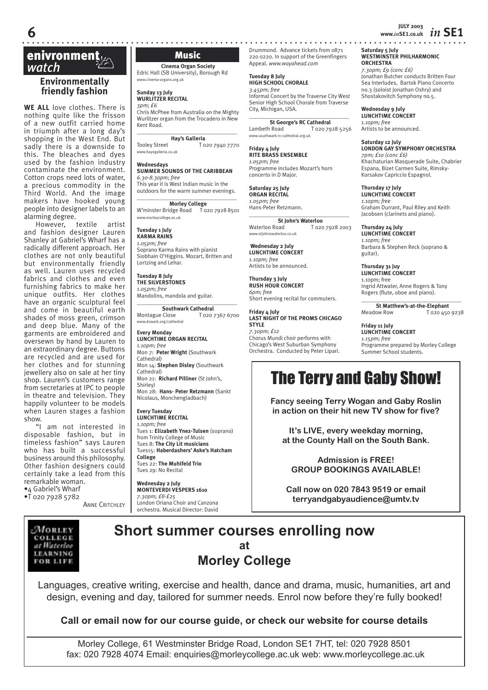## **enivronment**<br> *Watch* Music<br>
Music Music Music Music Music Mall (SB University), I

#### **Environmentally friendly fashion**

**WE ALL** love clothes. There is nothing quite like the frisson of a new outfit carried home in triumph after a long day's shopping in the West End. But sadly there is a downside to this. The bleaches and dyes used by the fashion industry contaminate the environment. Cotton crops need lots of water, a precious commodity in the Third World. And the image makers have hooked young people into designer labels to an alarming degree.

However, textile artist and fashion designer Lauren Shanley at Gabriel's Wharf has a radically different approach. Her clothes are not only beautiful but environmentally friendly as well. Lauren uses recycled fabrics and clothes and even furnishing fabrics to make her unique outfits. Her clothes have an organic sculptural feel and come in beautiful earth shades of moss green, crimson and deep blue. Many of the garments are embroidered and oversewn by hand by Lauren to an extraordinary degree. Buttons are recycled and are used for her clothes and for stunning jewellery also on sale at her tiny shop. Lauren's customers range from secretaries at IPC to people in theatre and television. They happily volunteer to be models when Lauren stages a fashion show.

"I am not interested in disposable fashion, but in timeless fashion" says Lauren who has built a successful business around this philosophy. Other fashion designers could certainly take a lead from this remarkable woman. •4 Gabriel's Wharf

•T 020 7928 5782

**ANNE CRITCHLEY** 

**Cinema Organ Society** Edric Hall (SB University), Borough Rd www.cinema-organs.org.uk

**Sunday 13 July WURLITZER RECITAL** *3pm; £6*

Chris McPhee from Australia on the Mighty Wurlitzer organ from the Trocadero in New Kent Road. \_\_\_\_\_*\_\_\_\_\_\_\_\_\_\_\_\_\_\_\_\_\_\_\_\_\_\_\_\_\_\_\_\_\_\_*

**Hay's Galleria**

Tooley Street T 020 7940 7770 www.haysgalleria.co.uk

#### **Wednesdays**

**SUMMER SOUNDS OF THE CARIBBEAN** *6.30-8.30pm; free* This year it is West Indian music in the

outdoors for the warm summer evenings. \_\_\_\_\_*\_\_\_\_\_\_\_\_\_\_\_\_\_\_\_\_\_\_\_\_\_\_\_\_\_\_\_\_\_\_*

**Morley College** W'minster Bridge Road T 020 7928 8501 www.morleycollege.ac.uk

**Tuesday 1 July KARMA RAINS** *1.05pm; free* Soprano Karma Rains with pianist Siobhain O'Higgins. Mozart, Britten and Lortzing and Lehar.

**Tuesday 8 July THE SILVERSTONES** *1.05pm; free*

Mandolins, mandola and guitar. \_\_\_\_\_*\_\_\_\_\_\_\_\_\_\_\_\_\_\_\_\_\_\_\_\_\_\_\_\_\_\_\_\_\_\_*

**Southwark Cathedral** Montague Close T 020 7367 6700 w.dswark.org/cathedral

**Every Monday LUNCHTIME ORGAN RECITAL** *1.10pm; free* Mon 7: **Peter Wright** (Southwark Cathedral) Mon 14: **Stephen Disley** (Southwark Cathedral) Mon 21: **Richard Pilliner** (St John's, Shirley)

Mon 28: **Hans- Peter Retzmann** (Sankt Nicolaus, Monchengladbach)

#### **Every Tuesday LUNCHTIME RECITAL**

*1.10pm; free* Tues 1: **Elizabeth Ynez-Tulsen** (soprano) from Trinity College of Music Tues 8: **The City Lit musicians** Tues15: **Haberdashers' Aske's Hatcham College**  Tues 22: **The Muhlfeld Trio** Tues 29: No Recital

**Wednesday 2 July MONTEVERDI VESPERS 1610** *7.30pm; £8-£25* London Oriana Choir and Canzona orchestra. Musical Director: David Drummond. Advance tickets from 0871 220 0220. In support of the Greenfingers Appeal. *www.wayahead.com*

**Tuesday 8 July HIGH SCHOOL CHORALE** *3.45pm; free* Informal Concert by the Traverse City West Senior High School Chorale from Traverse City, Michigan, USA.

\_\_\_\_\_*\_\_\_\_\_\_\_\_\_\_\_\_\_\_\_\_\_\_\_\_\_\_\_\_\_\_\_\_\_\_* **St George's RC Cathedral** Lambeth Road T 020 7928 5256 www.southwark-rc-cathedral.org.uk

**Friday 4 July RITE BRASS ENSEMBLE** *1.05pm; free* Programme includes Mozart's horn concerto in D Major.

**Saturday 25 July ORGAN RECITAL** *1.05pm; free* Hans-Peter Retzmann.

\_\_\_\_\_*\_\_\_\_\_\_\_\_\_\_\_\_\_\_\_\_\_\_\_\_\_\_\_\_\_\_\_\_\_\_* **St John's Waterloo**<br>Waterloo Road To2c T 020 7928 2003 www.stjohnswaterloo.co.uk

 **Wednesday 2 July LUNCHTIME CONCERT** *1.10pm; free* Artists to be announced.

**Thursday 3 July RUSH HOUR CONCERT** *6pm; free* Short evening recital for commuters.

**Friday 4 July LAST NIGHT OF THE PROMS CHICAGO STYLE** *7.30pm; £12* Chorus Mundi choir performs with

Chicago's West Suburban Symphony Orchestra. Conducted by Peter Lipari.

## The Terry and Gaby Show!

**Fancy seeing Terry Wogan and Gaby Roslin in action on their hit new TV show for five?**

**It's LIVE, every weekday morning, at the County Hall on the South Bank.**

**Admission is FREE! GROUP BOOKINGS AVAILABLE!**

**Call now on 020 7843 9519 or email terryandgabyaudience@umtv.tv**

#### MORLEY COLLEGE at Waterloo **LEARNING** FOR LIFE

## **Short summer courses enrolling now at Morley College**

Languages, creative writing, exercise and health, dance and drama, music, humanities, art and design, evening and day, tailored for summer needs. Enrol now before they're fully booked!

**Call or email now for our course guide, or check our website for course details**

Morley College, 61 Westminster Bridge Road, London SE1 7HT, tel: 020 7928 8501 fax: 020 7928 4074 Email: enquiries@morleycollege.ac.uk web: www.morleycollege.ac.uk

**JULY 2003 6 www.***in***SE1.co.uk** *in* **SE1**

**Saturday 5 July WESTMINSTER PHILHARMONIC ORCHESTRA** *7.30pm; £9 (conc £6)* Jonathan Butcher conducts Britten Four Sea Interludes, Bartok Piano Concerto no.3 (soloist Jonathan Oshry) and Shostakovitch Symphony no.5.

**Wednesday 9 July LUNCHTIME CONCERT** *1.10pm; free* Artists to be announced.

**Saturday 12 July LONDON GAY SYMPHONY ORCHESTRA** *7pm; £10 (conc £6)* Khachaturian Masquerade Suite, Chabrier Espana, Bizet Carmen Suite, Rimsky-Korsakov Capriccio Espagnol.

**Thursday 17 July LUNCHTIME CONCERT** *1.10pm; free* Graham Durrant, Paul Riley and Keith Jacobsen (clarinets and piano).

**Thursday 24 July LUNCHTIME CONCERT** *1.10pm; free* Barbara & Stephen Reck (soprano & guitar).

**Thursday 31 Juy LUNCHTIME CONCERT** 1.10pm; free Ingrid Attwater, Anne Rogers & Tony Rogers (flute, oboe and piano).

\_\_\_\_\_*\_\_\_\_\_\_\_\_\_\_\_\_\_\_\_\_\_\_\_\_\_\_\_\_\_\_\_\_\_\_* **St Matthew's-at-the-Elephant**<br>Meadow Row T 020 450 T 020 450 9238

**Friday 11 July LUNCHTIME CONCERT** *1.15pm; free* Programme prepared by Morley College Summer School students.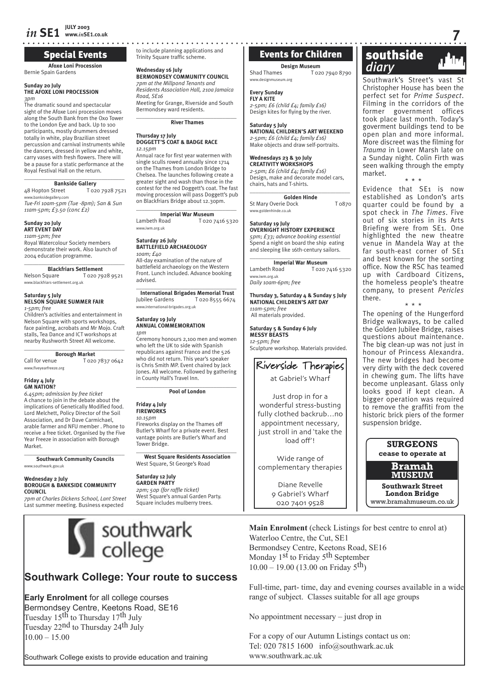## Special Events

Bernie Spain Gardens

#### **Sunday 20 July THE AFOXE LONI PROCESSION** *3pm*

The dramatic sound and spectacular sight of the Afoxe Loni procession moves along the South Bank from the Oxo Tower to the London Eye and back. Up to 100 participants, mostly drummers dressed totally in white, play Brazilian street percussion and carnival instruments while the dancers, dressed in yellow and white, carry vases with fresh flowers. There will be a pause for a static performance at the Royal Festival Hall on the return.

**Bankside Gallery**<br>48 Hopton Street To2 To20 7928 7521 w.banksidegallery.com

*Tue-Fri 10am-5pm (Tue -8pm); San & Sun 11am-5pm; £3.50 (conc £2)*

#### **Sunday 20 July ART EVENT DAY**

*11am-5pm; free* Royal Watercolour Society members

demonstrate their work. Also launch of 2004 education programme.  $\_$ 

## **Blackfriars Settlement**<br> **CO20 7928 9521**

Nelson Square www.blackfriars-settlement.org.uk

#### **Saturday 5 July NELSON SQUARE SUMMER FAIR**

*1-5pm; free* Children's activities and entertainment in

Nelson Square with sports workshops, face painting, acrobats and Mr Mojo. Craft stalls, Tea Dance and ICT workshops at nearby Rushworth Street All welcome.  $\overline{\phantom{a}}$  , and the set of the set of the set of the set of the set of the set of the set of the set of the set of the set of the set of the set of the set of the set of the set of the set of the set of the set of the s

#### **Borough Market**

Call for venue T 020 7837 0642 w.fiveyearfreeze.org

#### **Friday 4 July GM NATION?**

*6.45pm; admission by free ticket* A chance to join in the debate about the implications of Genetically Modified food. Lord Melchett, Policy Director of the Soil Association, and Dr Dave Carmichael, arable farmer and NFU member . Phone to receive a free ticket. Organised by the Five Year Freeze in association with Borough Market.  $\_$ 

**Southwark Community Councils** www.southwark.gov.uk

#### **Wednesday 2 July BOROUGH & BANKSIDE COMMUNITY COUNCIL**

*7pm at Charles Dickens School, Lant Street* Last summer meeting. Business expected

#### \_\_\_\_\_\_\_\_\_\_\_\_\_\_\_\_\_\_\_\_\_\_\_\_\_\_\_\_\_\_\_\_\_\_\_ on the Thames from London Bridge to Chelsea. The launches following create a greater sight and wash than those in the contest for the red Doggett's coat. The fast moving procession will pass Doggett's pub

**Thursday 17 July**

*12.15pm*

 $\overline{\phantom{a}}$  , and the set of the set of the set of the set of the set of the set of the set of the set of the set of the set of the set of the set of the set of the set of the set of the set of the set of the set of the s **Imperial War Museum**<br>
Lambeth Road<br>
Tozo T 020 7416 5320 www.iwm.org.uk

on Blackfriars Bridge about 12.30pm.

to include planning applications and Trinity Square traffic scheme.

**BERMONDSEY COMMUNITY COUNCIL** *7pm at the Millpond Tenants and Residents Association Hall, 210a Jamaica* 

Meeting for Grange, Riverside and South Bermondsey ward residents.

\_\_\_\_\_\_\_\_\_\_\_\_\_\_\_\_\_\_\_\_\_\_\_\_\_\_\_\_\_\_\_\_\_\_\_ **River Thames**

**DOGGETT'S COAT & BADGE RACE**

Annual race for first year watermen with single sculls rowed annually since 1714

**Wednesday 16 July**

*Road, SE16* 

#### **Saturday 26 July BATTLEFIELD ARCHAEOLOGY**

*10am; £40* All-day examination of the nature of battlefield archaeology on the Western Front. Lunch included. Advance booking advised.

**International Brigades Memorial Trust** Jubilee Gardens T 020 8555 6674 www.international-brigades.org.uk

#### **ANNUAL COMMEMORATION** *1pm*

Ceremony honours 2,100 men and women who left the UK to side with Spanish republicans against Franco and the 526 who did not return. This year's speaker is Chris Smith MP. Event chaired by Jack Jones. All welcome. Followed by gathering in County Hall's Travel Inn.

**Pool of London**

#### **Friday 4 July FIREWORKS**

Tower Bridge.

*10.15pm* Fireworks display on the Thames off Butler's Wharf for a private event. Best vantage points are Butler's Wharf and

#### \_\_\_\_\_\_\_\_\_\_\_\_\_\_\_\_\_\_\_\_\_\_\_\_\_\_\_\_\_\_\_\_\_\_\_ **West Square Residents Association** West Square, St George's Road

**Saturday 12 July GARDEN PARTY** *2pm; 50p (for raffle ticket)* West Square's annual Garden Party. Square includes mulberry trees.

## Events for Children

**Design Museum** Shad Thames T 020 7940 8790 www.designmuseum.org

#### **Every Sunday**

**FLY A KITE** *2-5pm; £6 (child £4; family £16)* Design kites for flying by the river.

#### **Saturday 5 July**

**NATIONAL CHILDREN'S ART WEEKEND** *2-5pm; £6 (child £4; family £16)* Make objects and draw self-portraits.

#### **Wednesdays 23 & 30 July**

**CREATIVITY WORKSHOPS** *2-5pm; £6 (child £4; family £16)* Design, make and decorate model cars, chairs, hats and T-shirts.

 $\overline{\phantom{a}}$  , and the set of the set of the set of the set of the set of the set of the set of the set of the set of the set of the set of the set of the set of the set of the set of the set of the set of the set of the s **Golden Hinde**

St Mary Overie Dock T 0870 www.goldenhinde.co.uk

#### **Saturday 19 July OVERNIGHT HISTORY EXPERIENCE**

*5pm; £33; advance booking essential* Spend a night on board the ship eating and sleeping like 16th-century sailors. \_\_\_\_\_\_\_\_\_\_\_\_\_\_\_\_\_\_\_\_\_\_\_\_\_\_\_\_\_\_\_\_\_\_\_

**Imperial War Museum**<br>**Lambeth Road T** 0207 T 020 7416 5320 www.iwm.org.uk *Daily 10am-6pm; free* 

**Thursday 3, Saturday 4 & Sunday 5 July NATIONAL CHILDREN'S ART DAY**

## Riverside Therapies

at Gabriel's Wharf

wonderful stress-busting appointment necessary, just stroll in and 'take the

Wide range of complementary therapies

> Diane Revelle 9 Gabriel's Wharf

 southside **Afoxe Loni Procession**<br>Afoxe Loni Procession<br>**Afoxe Loni Procession**<br>**Afoxe Loni Procession**<br>**Afoxe Loni Procession**<br>**Read Thames**<br>**Afoxe Loni Cazo 7940 8790**<br>**Read Thames**<br>**Read Thames**<br>**Read Thames**<br>**Read Thames**<br>**Read** 

> Southwark's Street's vast Christopher House has been the perfect set for *Prime Suspect*. Filming in the corridors of the former government offices took place last month. Today's goverment buildings tend to be open plan and more informal. More discreet was the filming for *Trauma* in Lower Marsh late on a Sunday night. Colin Firth was seen walking through the empty market.

\* \* \*

Evidence that SE1 is now established as London's arts quarter could be found by a spot check in *The Times*. Five out of six stories in its Arts Briefing were from SE1. One highlighted the new theatre venue in Mandela Way at the far south-east corner of SE1 and best known for the sorting office. Now the RSC has teamed up with Cardboard Citizens, the homeless people's theatre company, to present *Pericles*  there. \* \* \*

The opening of the Hungerford Bridge walkways, to be called the Golden Jubilee Bridge, raises questions about maintenance. The big clean-up was not just in honour of Princess Alexandra. The new bridges had become very dirty with the deck covered in chewing gum. The lifts have become unpleasant. Glass only looks good if kept clean. A bigger operation was required to remove the graffiti from the historic brick piers of the former suspension bridge.

> **SURGEONS cease to operate at**

**Bramah MUSEUM**

**Southwark Street London Bridge** www.bramahmuseum.co.uk

**Main Enrolment** (check Listings for best centre to enrol at) Waterloo Centre, the Cut, SE1 Bermondsey Centre, Keetons Road, SE16 Monday  $1<sup>st</sup>$  to Friday  $5<sup>th</sup>$  September  $10.00 - 19.00$  (13.00 on Friday 5<sup>th</sup>)

Full-time, part- time, day and evening courses available in a wide range of subject. Classes suitable for all age groups

No appointment necessary – just drop in

For a copy of our Autumn Listings contact us on: Tel: 020 7815 1600 info@southwark.ac.uk www.southwark.ac.uk

# southwark<br>college

**Southwark College: Your route to success**

 $10.00 - 15.00$ 

Southwark College exists to provide education and training

**Early Enrolment** for all college courses Bermondsey Centre, Keetons Road, SE16

Tuesday 15<sup>th</sup> to Thursday 17<sup>th</sup> July Tuesday 22<sup>nd</sup> to Thursday 24<sup>th</sup> July

**Saturday 19 July**

## $\overline{\phantom{a}}$  , and the set of the set of the set of the set of the set of the set of the set of the set of the set of the set of the set of the set of the set of the set of the set of the set of the set of the set of the s

 $\overline{\phantom{a}}$  , and the set of the set of the set of the set of the set of the set of the set of the set of the set of the set of the set of the set of the set of the set of the set of the set of the set of the set of the s *11am-5pm; free* All materials provided. **MESSY BEASTS**

**Saturday 5 & Sunday 6 July** *12-5pm; free* 

Sculpture workshop. Materials provided.

## Just drop in for a fully clothed backrub…no

load off'!

020 7401 9528